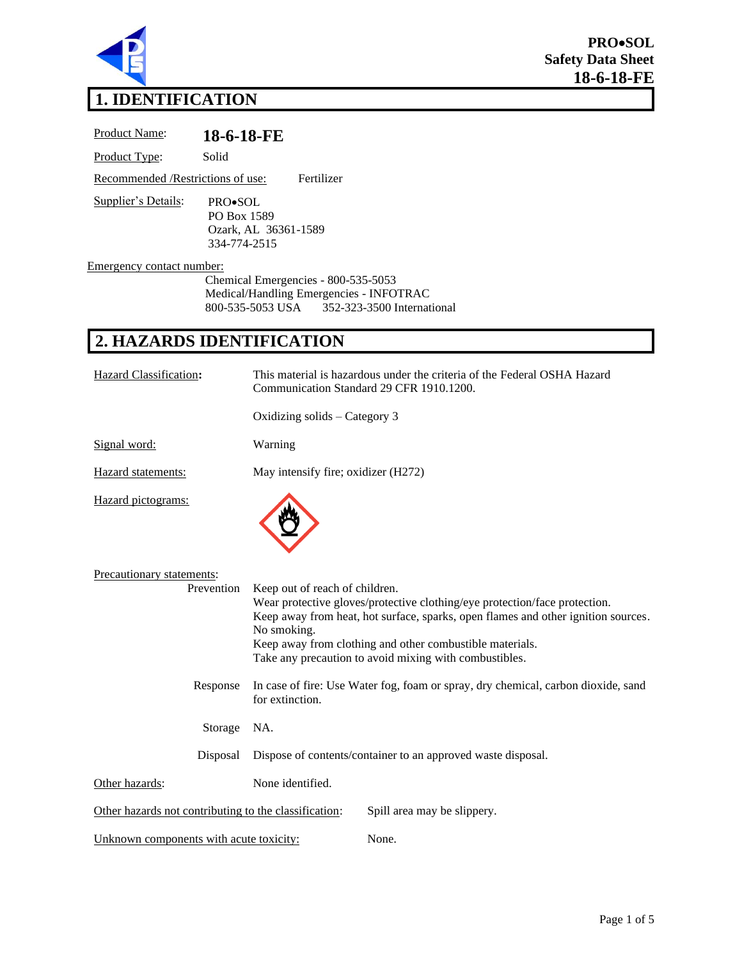

# **1. IDENTIFICATION**

Product Name: **18-6-18-FE** Product Type: Solid Recommended /Restrictions of use: Fertilizer Supplier's Details: PRO•SOL PO Box 1589 Ozark, AL 36361-1589 334-774-2515 Emergency contact number: Chemical Emergencies - 800-535-5053 Medical/Handling Emergencies - INFOTRAC 800-535-5053 USA 352-323-3500 International **2. HAZARDS IDENTIFICATION** Hazard Classification**:** This material is hazardous under the criteria of the Federal OSHA Hazard Communication Standard 29 CFR 1910.1200. Oxidizing solids – Category 3 Signal word: Warning

Hazard statements: May intensify fire; oxidizer (H272)

Hazard pictograms:



| Precautionary statements:<br>Prevention               | Keep out of reach of children.<br>Wear protective gloves/protective clothing/eye protection/face protection.<br>Keep away from heat, hot surface, sparks, open flames and other ignition sources.<br>No smoking.<br>Keep away from clothing and other combustible materials.<br>Take any precaution to avoid mixing with combustibles. |                             |
|-------------------------------------------------------|----------------------------------------------------------------------------------------------------------------------------------------------------------------------------------------------------------------------------------------------------------------------------------------------------------------------------------------|-----------------------------|
| Response                                              | In case of fire: Use Water fog, foam or spray, dry chemical, carbon dioxide, sand<br>for extinction.                                                                                                                                                                                                                                   |                             |
| Storage                                               | NA.                                                                                                                                                                                                                                                                                                                                    |                             |
| Disposal                                              | Dispose of contents/container to an approved waste disposal.                                                                                                                                                                                                                                                                           |                             |
| Other hazards:                                        | None identified.                                                                                                                                                                                                                                                                                                                       |                             |
| Other hazards not contributing to the classification: |                                                                                                                                                                                                                                                                                                                                        | Spill area may be slippery. |
| Unknown components with acute toxicity:               |                                                                                                                                                                                                                                                                                                                                        | None.                       |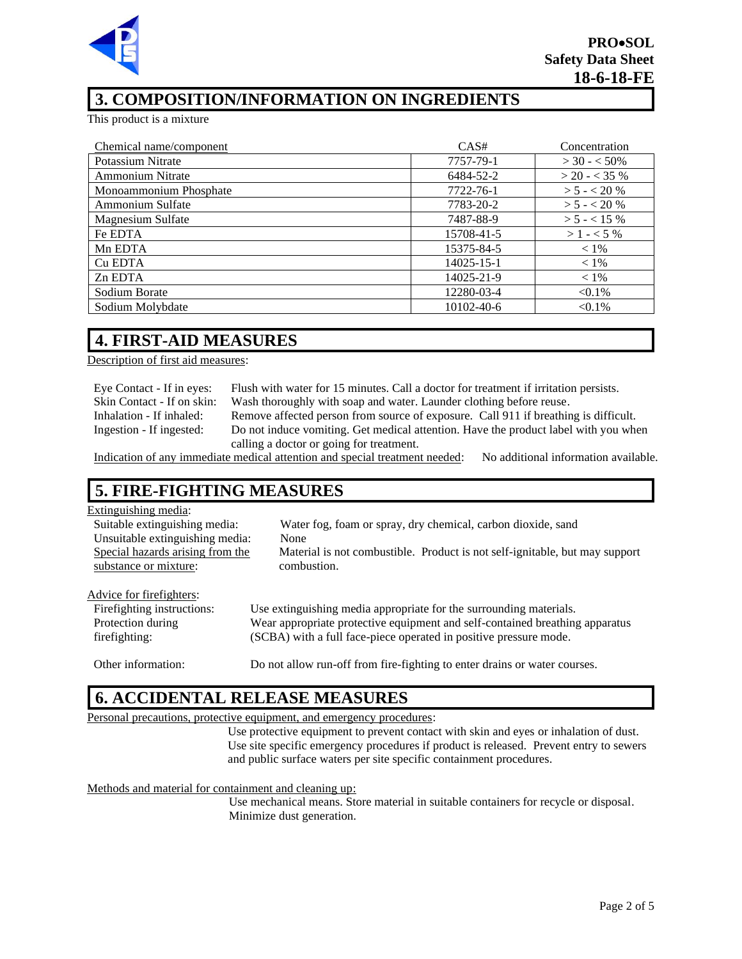

## **3. COMPOSITION/INFORMATION ON INGREDIENTS**

This product is a mixture

| Chemical name/component | CAS#             | Concentration   |
|-------------------------|------------------|-----------------|
| Potassium Nitrate       | 7757-79-1        | $>$ 30 - < 50%  |
| <b>Ammonium Nitrate</b> | 6484-52-2        | $>$ 20 - < 35 % |
| Monoammonium Phosphate  | 7722-76-1        | $> 5 - < 20%$   |
| Ammonium Sulfate        | 7783-20-2        | $> 5 - < 20%$   |
| Magnesium Sulfate       | 7487-88-9        | $> 5 - < 15%$   |
| Fe EDTA                 | 15708-41-5       | $>1 - 5\%$      |
| Mn EDTA                 | 15375-84-5       | $< 1\%$         |
| Cu EDTA                 | $14025 - 15 - 1$ | $< 1\%$         |
| Zn EDTA                 | 14025-21-9       | $< 1\%$         |
| Sodium Borate           | 12280-03-4       | $< 0.1\%$       |
| Sodium Molybdate        | 10102-40-6       | $< 0.1\%$       |

#### **4. FIRST-AID MEASURES**

Description of first aid measures:

Eye Contact - If in eyes: Flush with water for 15 minutes. Call a doctor for treatment if irritation persists. Skin Contact - If on skin: Wash thoroughly with soap and water. Launder clothing before reuse. Inhalation - If inhaled: Remove affected person from source of exposure. Call 911 if breathing is difficult. Ingestion - If ingested: Do not induce vomiting. Get medical attention. Have the product label with you when calling a doctor or going for treatment.

Indication of any immediate medical attention and special treatment needed: No additional information available.

#### **5. FIRE-FIGHTING MEASURES**

#### Extinguishing media:

| Suitable extinguishing media:<br>Unsuitable extinguishing media:<br>Special hazards arising from the<br>substance or mixture: | Water fog, foam or spray, dry chemical, carbon dioxide, sand<br>None<br>Material is not combustible. Product is not self-ignitable, but may support<br>combustion. |
|-------------------------------------------------------------------------------------------------------------------------------|--------------------------------------------------------------------------------------------------------------------------------------------------------------------|
| Advice for firefighters:                                                                                                      |                                                                                                                                                                    |

| Fire fighting instructions: | Use extinguishing media appropriate for the surrounding materials.           |
|-----------------------------|------------------------------------------------------------------------------|
| Protection during           | Wear appropriate protective equipment and self-contained breathing apparatus |
| firefighting:               | (SCBA) with a full face-piece operated in positive pressure mode.            |

#### Other information: Do not allow run-off from fire-fighting to enter drains or water courses.

#### **6. ACCIDENTAL RELEASE MEASURES**

#### Personal precautions, protective equipment, and emergency procedures:

Use protective equipment to prevent contact with skin and eyes or inhalation of dust. Use site specific emergency procedures if product is released. Prevent entry to sewers and public surface waters per site specific containment procedures.

#### Methods and material for containment and cleaning up:

Use mechanical means. Store material in suitable containers for recycle or disposal. Minimize dust generation.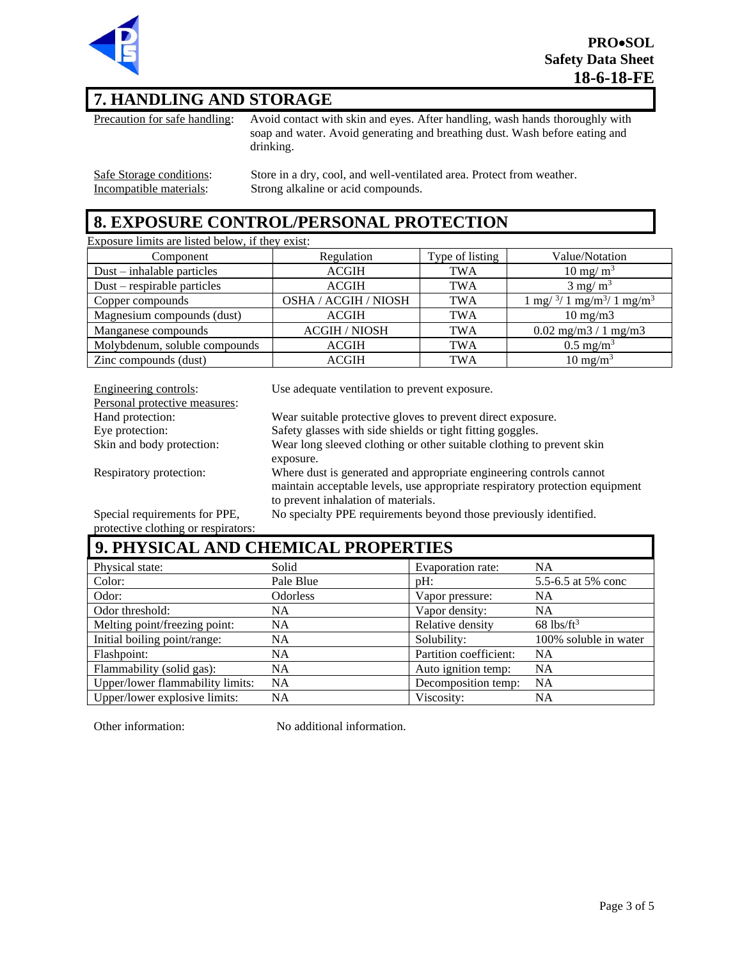

# **7. HANDLING AND STORAGE**

Precaution for safe handling: Avoid contact with skin and eyes. After handling, wash hands thoroughly with soap and water. Avoid generating and breathing dust. Wash before eating and drinking.

Safe Storage conditions: Store in a dry, cool, and well-ventilated area. Protect from weather.<br>Incompatible materials: Strong alkaline or acid compounds. Strong alkaline or acid compounds.

### **8. EXPOSURE CONTROL/PERSONAL PROTECTION**

Exposure limits are listed below, if they exist:

| Component                     | Regulation           | Type of listing | Value/Notation                                                                   |
|-------------------------------|----------------------|-----------------|----------------------------------------------------------------------------------|
| $Dust - inhalable particles$  | <b>ACGIH</b>         | <b>TWA</b>      | $10 \text{ mg/m}^3$                                                              |
| $Dust$ – respirable particles | <b>ACGIH</b>         | <b>TWA</b>      | $3 \text{ mg/m}^3$                                                               |
| Copper compounds              | OSHA / ACGIH / NIOSH | <b>TWA</b>      | $1 \text{ mg} / \frac{3}{1} \text{ mg} / \text{m}^3 / 1 \text{ mg} / \text{m}^3$ |
| Magnesium compounds (dust)    | <b>ACGIH</b>         | <b>TWA</b>      | $10 \text{ mg/m}$                                                                |
| Manganese compounds           | <b>ACGIH / NIOSH</b> | <b>TWA</b>      | $0.02$ mg/m $3/1$ mg/m $3$                                                       |
| Molybdenum, soluble compounds | <b>ACGIH</b>         | <b>TWA</b>      | $0.5 \text{ mg/m}^3$                                                             |
| Zinc compounds (dust)         | <b>ACGIH</b>         | <b>TWA</b>      | $10 \text{ mg/m}^3$                                                              |

| Engineering controls:         | Use adequate ventilation to prevent exposure.                                |
|-------------------------------|------------------------------------------------------------------------------|
| Personal protective measures: |                                                                              |
| Hand protection:              | Wear suitable protective gloves to prevent direct exposure.                  |
| Eye protection:               | Safety glasses with side shields or tight fitting goggles.                   |
| Skin and body protection:     | Wear long sleeved clothing or other suitable clothing to prevent skin        |
|                               | exposure.                                                                    |
| Respiratory protection:       | Where dust is generated and appropriate engineering controls cannot          |
|                               | maintain acceptable levels, use appropriate respiratory protection equipment |
|                               | to prevent inhalation of materials.                                          |
| Special requirements for PPE, | No specialty PPE requirements beyond those previously identified.            |

Special requirements for PPE, protective clothing or respirators:

# **9. PHYSICAL AND CHEMICAL PROPERTIES**

| Physical state:                  | Solid     | Evaporation rate:      | NA                       |
|----------------------------------|-----------|------------------------|--------------------------|
| Color:                           | Pale Blue | $pH$ :                 | 5.5-6.5 at 5% conc       |
| Odor:                            | Odorless  | Vapor pressure:        | NA                       |
| Odor threshold:                  | <b>NA</b> | Vapor density:         | NA.                      |
| Melting point/freezing point:    | <b>NA</b> | Relative density       | $68$ lbs/ft <sup>3</sup> |
| Initial boiling point/range:     | <b>NA</b> | Solubility:            | 100% soluble in water    |
| Flashpoint:                      | NA        | Partition coefficient: | NA                       |
| Flammability (solid gas):        | <b>NA</b> | Auto ignition temp:    | NA                       |
| Upper/lower flammability limits: | <b>NA</b> | Decomposition temp:    | NA                       |
| Upper/lower explosive limits:    | NA        | Viscosity:             | NA                       |

Other information: No additional information.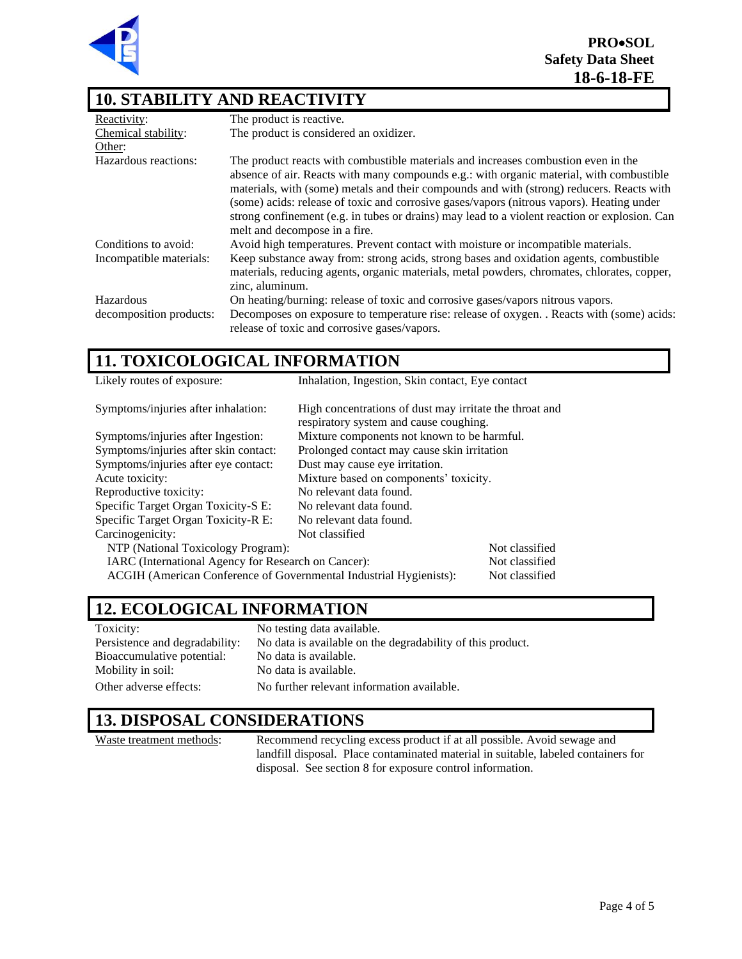

### **10. STABILITY AND REACTIVITY**

| Reactivity:             | The product is reactive.                                                                                                                                                                                                                                                                                                                                                                                                                                                                                   |
|-------------------------|------------------------------------------------------------------------------------------------------------------------------------------------------------------------------------------------------------------------------------------------------------------------------------------------------------------------------------------------------------------------------------------------------------------------------------------------------------------------------------------------------------|
| Chemical stability:     | The product is considered an oxidizer.                                                                                                                                                                                                                                                                                                                                                                                                                                                                     |
| Other:                  |                                                                                                                                                                                                                                                                                                                                                                                                                                                                                                            |
| Hazardous reactions:    | The product reacts with combustible materials and increases combustion even in the<br>absence of air. Reacts with many compounds e.g.: with organic material, with combustible<br>materials, with (some) metals and their compounds and with (strong) reducers. Reacts with<br>(some) acids: release of toxic and corrosive gases/vapors (nitrous vapors). Heating under<br>strong confinement (e.g. in tubes or drains) may lead to a violent reaction or explosion. Can<br>melt and decompose in a fire. |
| Conditions to avoid:    | Avoid high temperatures. Prevent contact with moisture or incompatible materials.                                                                                                                                                                                                                                                                                                                                                                                                                          |
| Incompatible materials: | Keep substance away from: strong acids, strong bases and oxidation agents, combustible<br>materials, reducing agents, organic materials, metal powders, chromates, chlorates, copper,<br>zinc, aluminum.                                                                                                                                                                                                                                                                                                   |
| Hazardous               | On heating/burning: release of toxic and corrosive gases/vapors nitrous vapors.                                                                                                                                                                                                                                                                                                                                                                                                                            |
| decomposition products: | Decomposes on exposure to temperature rise: release of oxygen. . Reacts with (some) acids:<br>release of toxic and corrosive gases/vapors.                                                                                                                                                                                                                                                                                                                                                                 |

# **11. TOXICOLOGICAL INFORMATION**

| Likely routes of exposure:                                                           | Inhalation, Ingestion, Skin contact, Eye contact                                                  |                |
|--------------------------------------------------------------------------------------|---------------------------------------------------------------------------------------------------|----------------|
| Symptoms/injuries after inhalation:                                                  | High concentrations of dust may irritate the throat and<br>respiratory system and cause coughing. |                |
| Mixture components not known to be harmful.<br>Symptoms/injuries after Ingestion:    |                                                                                                   |                |
| Symptoms/injuries after skin contact:                                                | Prolonged contact may cause skin irritation                                                       |                |
| Symptoms/injuries after eye contact:                                                 | Dust may cause eye irritation.                                                                    |                |
| Acute toxicity:                                                                      | Mixture based on components' toxicity.                                                            |                |
| Reproductive toxicity:<br>No relevant data found.                                    |                                                                                                   |                |
| Specific Target Organ Toxicity-S E:<br>No relevant data found.                       |                                                                                                   |                |
| Specific Target Organ Toxicity-R E:                                                  | No relevant data found.                                                                           |                |
| Carcinogenicity:                                                                     | Not classified                                                                                    |                |
| NTP (National Toxicology Program):                                                   |                                                                                                   | Not classified |
| IARC (International Agency for Research on Cancer):                                  |                                                                                                   | Not classified |
| ACGIH (American Conference of Governmental Industrial Hygienists):<br>Not classified |                                                                                                   |                |

### **12. ECOLOGICAL INFORMATION**

| Toxicity:                      | No testing data available.                                 |
|--------------------------------|------------------------------------------------------------|
| Persistence and degradability: | No data is available on the degradability of this product. |
| Bioaccumulative potential:     | No data is available.                                      |
| Mobility in soil:              | No data is available.                                      |
| Other adverse effects:         | No further relevant information available.                 |

#### **13. DISPOSAL CONSIDERATIONS**

Waste treatment methods: Recommend recycling excess product if at all possible. Avoid sewage and landfill disposal. Place contaminated material in suitable, labeled containers for disposal. See section 8 for exposure control information.